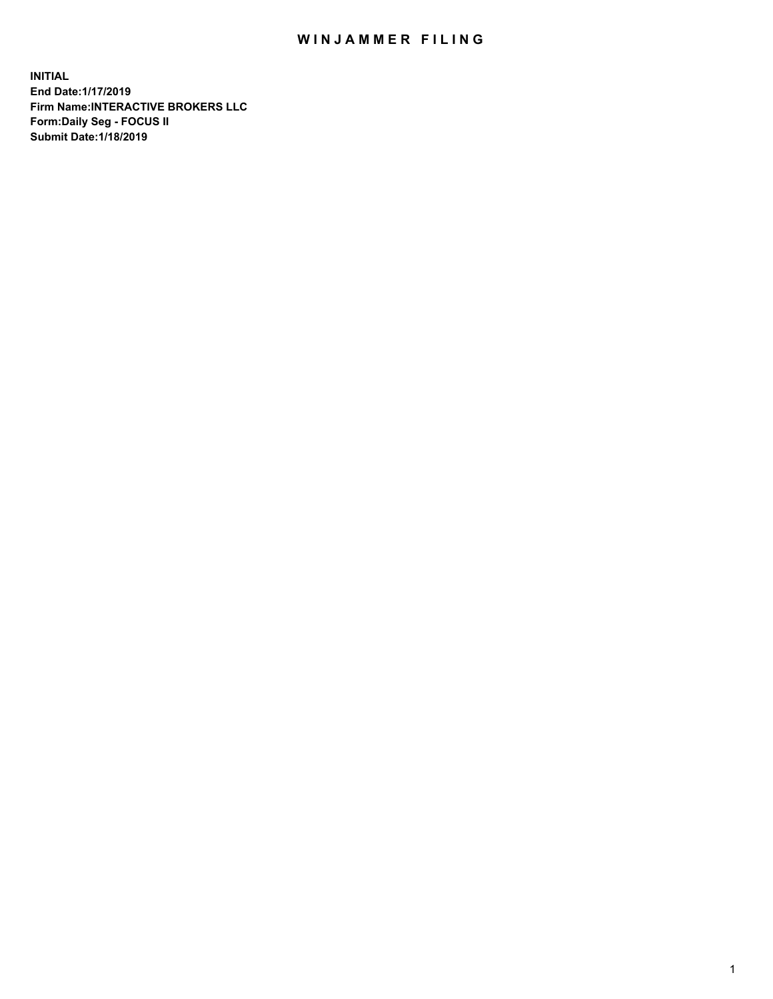## WIN JAMMER FILING

**INITIAL End Date:1/17/2019 Firm Name:INTERACTIVE BROKERS LLC Form:Daily Seg - FOCUS II Submit Date:1/18/2019**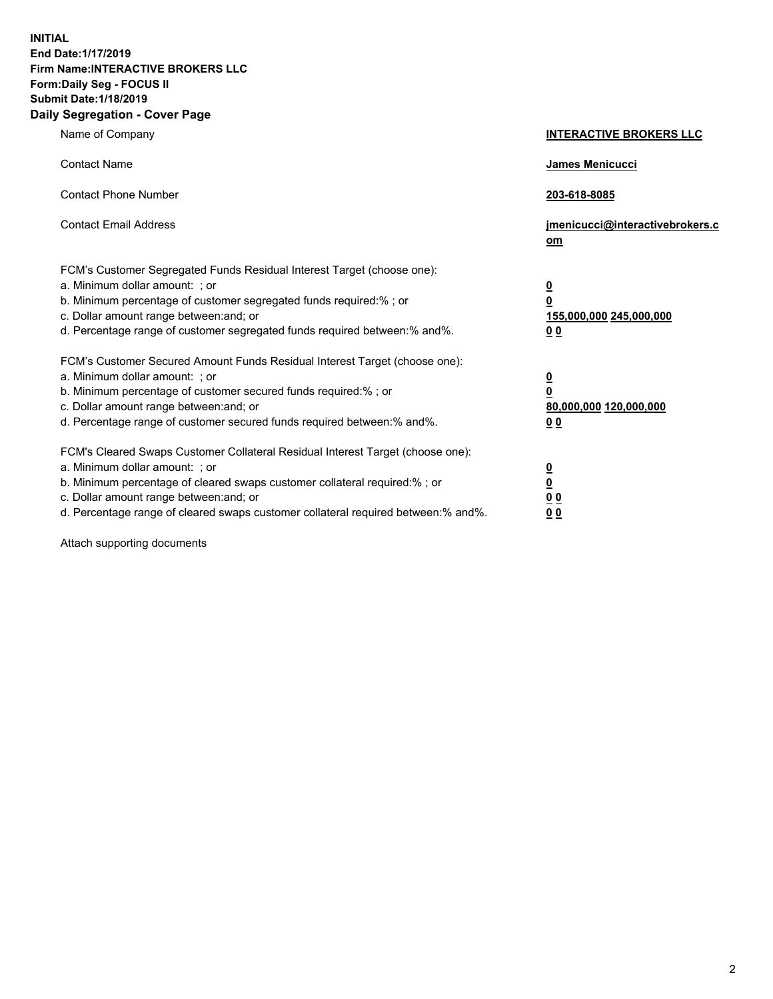**INITIAL End Date:1/17/2019 Firm Name:INTERACTIVE BROKERS LLC Form:Daily Seg - FOCUS II Submit Date:1/18/2019 Daily Segregation - Cover Page**

| Name of Company                                                                                                                                                                                                                                                                                                                | <b>INTERACTIVE BROKERS LLC</b>                                                                  |
|--------------------------------------------------------------------------------------------------------------------------------------------------------------------------------------------------------------------------------------------------------------------------------------------------------------------------------|-------------------------------------------------------------------------------------------------|
| <b>Contact Name</b>                                                                                                                                                                                                                                                                                                            | James Menicucci                                                                                 |
| <b>Contact Phone Number</b>                                                                                                                                                                                                                                                                                                    | 203-618-8085                                                                                    |
| <b>Contact Email Address</b>                                                                                                                                                                                                                                                                                                   | jmenicucci@interactivebrokers.c<br>om                                                           |
| FCM's Customer Segregated Funds Residual Interest Target (choose one):<br>a. Minimum dollar amount: ; or<br>b. Minimum percentage of customer segregated funds required:% ; or<br>c. Dollar amount range between: and; or<br>d. Percentage range of customer segregated funds required between:% and%.                         | $\overline{\mathbf{0}}$<br>$\overline{\mathbf{0}}$<br>155,000,000 245,000,000<br>0 <sub>0</sub> |
| FCM's Customer Secured Amount Funds Residual Interest Target (choose one):<br>a. Minimum dollar amount: ; or<br>b. Minimum percentage of customer secured funds required:%; or<br>c. Dollar amount range between: and; or<br>d. Percentage range of customer secured funds required between:% and%.                            | $\overline{\mathbf{0}}$<br>$\overline{\mathbf{0}}$<br>80,000,000 120,000,000<br>00              |
| FCM's Cleared Swaps Customer Collateral Residual Interest Target (choose one):<br>a. Minimum dollar amount: ; or<br>b. Minimum percentage of cleared swaps customer collateral required:% ; or<br>c. Dollar amount range between: and; or<br>d. Percentage range of cleared swaps customer collateral required between:% and%. | $\overline{\mathbf{0}}$<br>$\underline{\mathbf{0}}$<br>0 <sub>0</sub><br>0 <sub>0</sub>         |

Attach supporting documents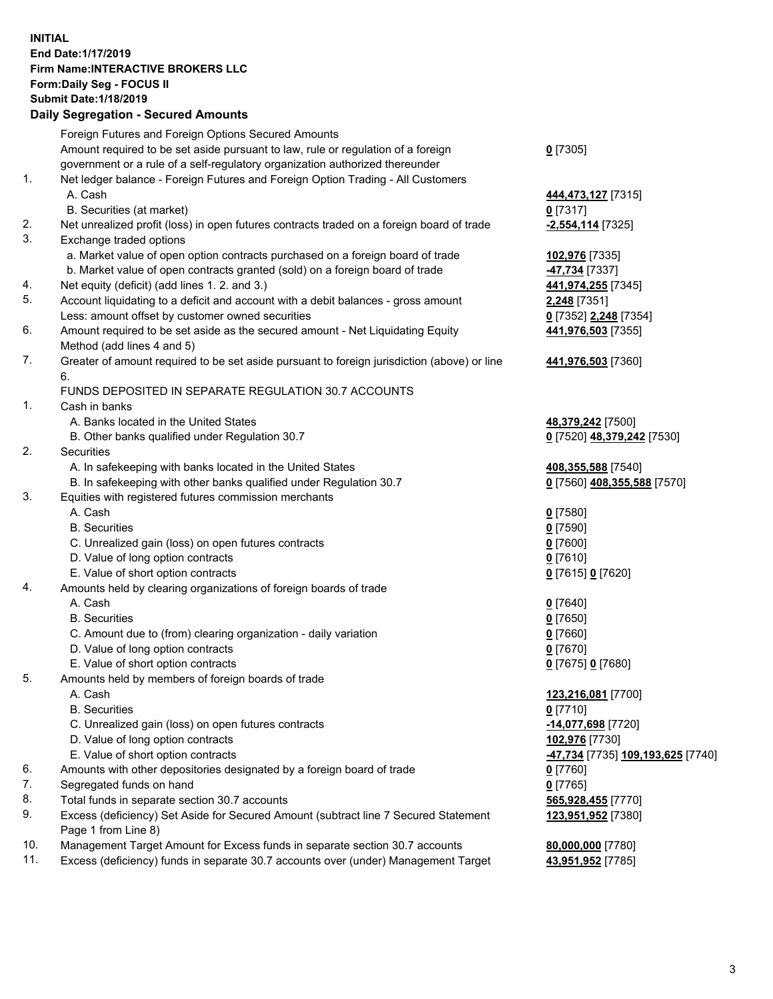## **INITIAL End Date:1/17/2019 Firm Name:INTERACTIVE BROKERS LLC Form:Daily Seg - FOCUS II Submit Date:1/18/2019 Daily Segregation - Secured Amounts**

|                | Daily Ocglegation - Occarea Anioants                                                              |                                  |
|----------------|---------------------------------------------------------------------------------------------------|----------------------------------|
|                | Foreign Futures and Foreign Options Secured Amounts                                               |                                  |
|                | Amount required to be set aside pursuant to law, rule or regulation of a foreign                  | $0$ [7305]                       |
|                | government or a rule of a self-regulatory organization authorized thereunder                      |                                  |
| $\mathbf{1}$ . | Net ledger balance - Foreign Futures and Foreign Option Trading - All Customers                   |                                  |
|                | A. Cash                                                                                           | 444,473,127 [7315]               |
|                | B. Securities (at market)                                                                         | $0$ [7317]                       |
| 2.             | Net unrealized profit (loss) in open futures contracts traded on a foreign board of trade         | -2,554,114 [7325]                |
| 3.             | Exchange traded options                                                                           |                                  |
|                | a. Market value of open option contracts purchased on a foreign board of trade                    | 102,976 [7335]                   |
|                | b. Market value of open contracts granted (sold) on a foreign board of trade                      | <b>47,734</b> [7337]             |
| 4.             | Net equity (deficit) (add lines 1. 2. and 3.)                                                     | 441,974,255 [7345]               |
| 5.             | Account liquidating to a deficit and account with a debit balances - gross amount                 | <b>2,248</b> [7351]              |
|                | Less: amount offset by customer owned securities                                                  | 0 [7352] 2,248 [7354]            |
| 6.             | Amount required to be set aside as the secured amount - Net Liquidating Equity                    | 441,976,503 [7355]               |
|                | Method (add lines 4 and 5)                                                                        |                                  |
| 7.             | Greater of amount required to be set aside pursuant to foreign jurisdiction (above) or line<br>6. | 441,976,503 [7360]               |
|                | FUNDS DEPOSITED IN SEPARATE REGULATION 30.7 ACCOUNTS                                              |                                  |
| 1.             | Cash in banks                                                                                     |                                  |
|                | A. Banks located in the United States                                                             | 48,379,242 [7500]                |
|                | B. Other banks qualified under Regulation 30.7                                                    | 0 [7520] 48,379,242 [7530]       |
| 2.             | Securities                                                                                        |                                  |
|                | A. In safekeeping with banks located in the United States                                         | 408,355,588 [7540]               |
|                | B. In safekeeping with other banks qualified under Regulation 30.7                                | 0 [7560] 408,355,588 [7570]      |
| 3.             | Equities with registered futures commission merchants                                             |                                  |
|                | A. Cash                                                                                           | $0$ [7580]                       |
|                | <b>B.</b> Securities                                                                              | $0$ [7590]                       |
|                | C. Unrealized gain (loss) on open futures contracts                                               | $0$ [7600]                       |
|                | D. Value of long option contracts                                                                 | $0$ [7610]                       |
|                | E. Value of short option contracts                                                                | 0 [7615] 0 [7620]                |
| 4.             | Amounts held by clearing organizations of foreign boards of trade                                 |                                  |
|                | A. Cash                                                                                           | $0$ [7640]                       |
|                | <b>B.</b> Securities                                                                              | $0$ [7650]                       |
|                | C. Amount due to (from) clearing organization - daily variation                                   | $0$ [7660]                       |
|                | D. Value of long option contracts                                                                 | $0$ [7670]                       |
|                | E. Value of short option contracts                                                                | 0 [7675] 0 [7680]                |
| 5.             | Amounts held by members of foreign boards of trade                                                |                                  |
|                | A. Cash                                                                                           | 123,216,081 [7700]               |
|                | <b>B.</b> Securities                                                                              | $0$ [7710]                       |
|                | C. Unrealized gain (loss) on open futures contracts                                               | -14,077,698 [7720]               |
|                | D. Value of long option contracts                                                                 | 102,976 [7730]                   |
|                | E. Value of short option contracts                                                                | 47,734 [7735] 109,193,625 [7740] |
| 6.             | Amounts with other depositories designated by a foreign board of trade                            | 0 [7760]                         |
| 7.             | Segregated funds on hand                                                                          | $0$ [7765]                       |
| 8.             | Total funds in separate section 30.7 accounts                                                     | 565,928,455 [7770]               |
| 9.             | Excess (deficiency) Set Aside for Secured Amount (subtract line 7 Secured Statement               | 123,951,952 [7380]               |
|                | Page 1 from Line 8)                                                                               |                                  |
| 10.            | Management Target Amount for Excess funds in separate section 30.7 accounts                       | 80,000,000 [7780]                |
| 11.            | Excess (deficiency) funds in separate 30.7 accounts over (under) Management Target                | 43,951,952 [7785]                |
|                |                                                                                                   |                                  |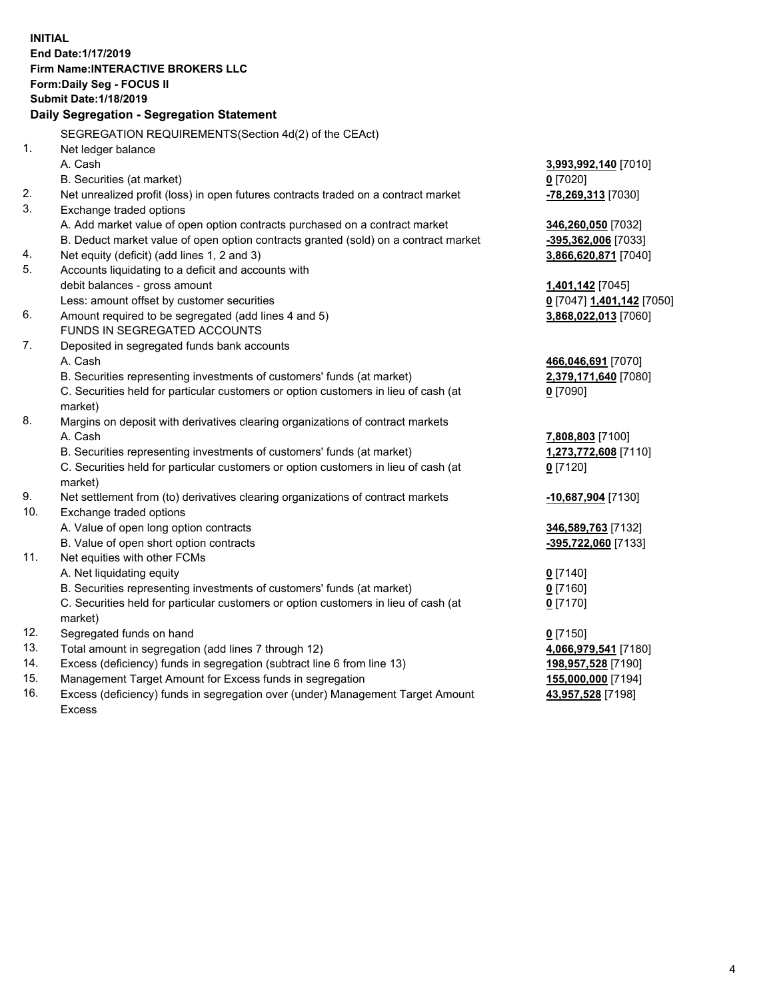**INITIAL End Date:1/17/2019 Firm Name:INTERACTIVE BROKERS LLC Form:Daily Seg - FOCUS II Submit Date:1/18/2019 Daily Segregation - Segregation Statement** SEGREGATION REQUIREMENTS(Section 4d(2) of the CEAct) 1. Net ledger balance A. Cash **3,993,992,140** [7010] B. Securities (at market) **0** [7020] 2. Net unrealized profit (loss) in open futures contracts traded on a contract market **-78,269,313** [7030] 3. Exchange traded options A. Add market value of open option contracts purchased on a contract market **346,260,050** [7032] B. Deduct market value of open option contracts granted (sold) on a contract market **-395,362,006** [7033] 4. Net equity (deficit) (add lines 1, 2 and 3) **3,866,620,871** [7040] 5. Accounts liquidating to a deficit and accounts with debit balances - gross amount **1,401,142** [7045] Less: amount offset by customer securities **0** [7047] **1,401,142** [7050] 6. Amount required to be segregated (add lines 4 and 5) **3,868,022,013** [7060] FUNDS IN SEGREGATED ACCOUNTS 7. Deposited in segregated funds bank accounts A. Cash **466,046,691** [7070] B. Securities representing investments of customers' funds (at market) **2,379,171,640** [7080] C. Securities held for particular customers or option customers in lieu of cash (at market) **0** [7090] 8. Margins on deposit with derivatives clearing organizations of contract markets A. Cash **7,808,803** [7100] B. Securities representing investments of customers' funds (at market) **1,273,772,608** [7110] C. Securities held for particular customers or option customers in lieu of cash (at market) **0** [7120] 9. Net settlement from (to) derivatives clearing organizations of contract markets **-10,687,904** [7130] 10. Exchange traded options A. Value of open long option contracts **346,589,763** [7132] B. Value of open short option contracts **-395,722,060** [7133] 11. Net equities with other FCMs A. Net liquidating equity **0** [7140] B. Securities representing investments of customers' funds (at market) **0** [7160] C. Securities held for particular customers or option customers in lieu of cash (at market) **0** [7170] 12. Segregated funds on hand **0** [7150] 13. Total amount in segregation (add lines 7 through 12) **4,066,979,541** [7180] 14. Excess (deficiency) funds in segregation (subtract line 6 from line 13) **198,957,528** [7190] 15. Management Target Amount for Excess funds in segregation **155,000,000** [7194]

16. Excess (deficiency) funds in segregation over (under) Management Target Amount Excess

**43,957,528** [7198]